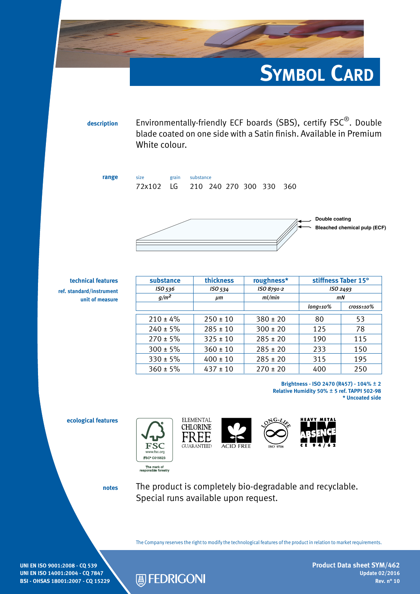

**description** Environmentally-friendly ECF boards (SBS), certify FSC®. Double blade coated on one side with a Satin finish. Available in Premium White colour.

**range** size grain substance 72x102 LG 210 240 270 300 330 360



**technical features ref. standard/instrument unit of measure**

| substance<br>ISO 536 | thickness<br>ISO 534 | roughness*<br>ISO 8791-2 | stiffness Taber 15°<br>ISO <sub>2493</sub> |                            |
|----------------------|----------------------|--------------------------|--------------------------------------------|----------------------------|
| $g/m^2$              | µт                   | ml/min                   | mN                                         |                            |
|                      |                      |                          | $long \scriptstyle{\pm 10\%}$              | $\frac{cross \pm 10\%}{s}$ |
| $210 \pm 4\%$        | $250 \pm 10$         | $380 \pm 20$             | 80                                         | 53                         |
| $240 \pm 5\%$        | $285 \pm 10$         | $300 \pm 20$             | 125                                        | 78                         |
| $270 \pm 5\%$        | $325 \pm 10$         | $285 \pm 20$             | 190                                        | 115                        |
| $300 \pm 5\%$        | $360 \pm 10$         | $285 \pm 20$             | 233                                        | 150                        |
| $330 \pm 5\%$        | $400 \pm 10$         | $285 \pm 20$             | 315                                        | 195                        |
| $360 \pm 5\%$        | $437 \pm 10$         | $270 \pm 20$             | 400                                        | 250                        |

**Brightness - ISO 2470 (R457) - 104%** ± **2 Relative Humidity 50%** ± **5 ref. TAPPI 502-98 \* Uncoated side**

**ecological features**











**notes**

The product is completely bio-degradable and recyclable. Special runs available upon request.

The Company reserves the right to modify the technological features of the product in relation to market requirements.

**UNI EN ISO 9001:2008 - CQ 539 UNI EN ISO 14001:2004 - CQ 7847 BSI - OHSAS 18001:2007 - CQ 15229**



**Product Data sheet SYM/462 Update 02/2016 Rev. n° 10**